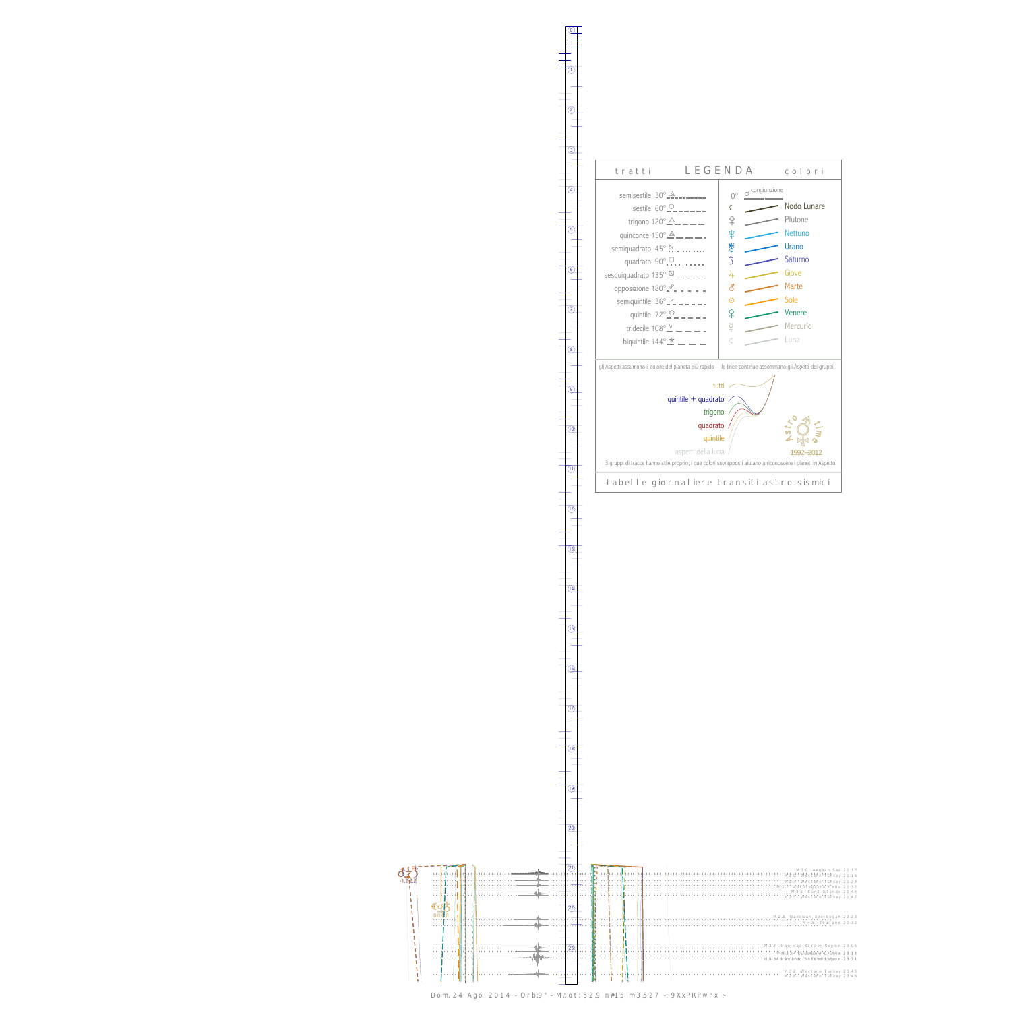$\mathcal{Q}^{\parallel}$ اس<br>1.≹